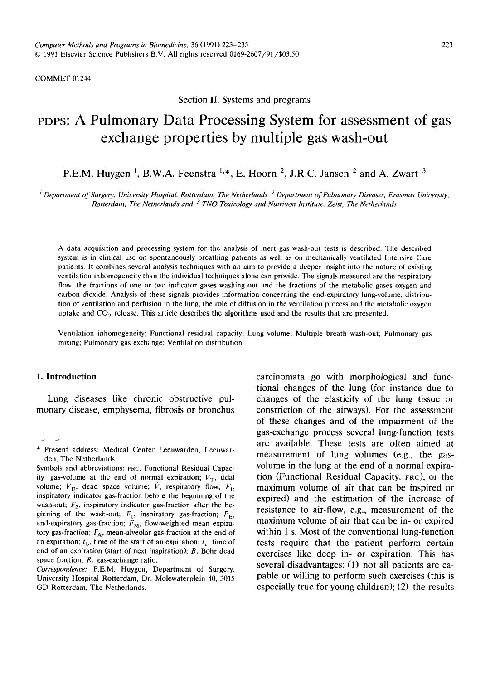COMMET 01244

Section II. Systems and programs

# **PoPs: A Pulmonary Data Processing System for assessment of gas exchange properties by multiple gas wash-out**

P.E.M. Huygen<sup>1</sup>, B.W.A. Feenstra<sup>1,\*</sup>, E. Hoorn<sup>2</sup>, J.R.C. Jansen<sup>2</sup> and A. Zwart<sup>3</sup>

<sup>*i*</sup> Department of Surgery, University Hospital, Rotterdam, The Netherlands<sup>2</sup> Department of Pulmonary Diseases, Erasmus University, *Rotterdam, The Netherlands and 3 TNO Toxicology and Nutrition Institute, Zeist, The Netherlands* 

A data acquisition and processing system for the analysis of inert gas wash-out tests is described. The described system is in clinical use on spontaneously breathing patients as well as on mechanically ventilated Intensive Care patients. It combines several analysis techniques with an aim to provide a deeper insight into the nature of existing ventilation inhomogeneity than the individual techniques alone can provide. The signals measured are the respiratory flow, the fractions of one or two indicator gases washing out and the fractions of the metabolic gases oxygen and carbon dioxide. Analysis of these signals provides information concerning the end-expiratory lung-volume, distribution of ventilation and perfusion in the lung, the role of diffusion in the ventilation process and the metabolic oxygen uptake and  $CO<sub>2</sub>$  release. This article describes the algorithms used and the results that are presented.

Ventilation inhomogeneity; Functional residual capacity; Lung volume; Multiple breath wash-out; Pulmonary gas mixing; Pulmonary gas exchange; Ventilation distribution

# **1. Introduction**

Lung diseases like chronic obstructive pulmonary disease, emphysema, fibrosis or bronchus carcinomata go with morphological and functional changes of the lung (for instance due to changes of the elasticity of the lung tissue or constriction of the airways). For the assessment of these changes and of the impairment of the gas-exchange process several lung-function tests are available. These tests are often aimed at measurement of lung volumes (e.g., the gasvolume in the lung at the end of a normal expiration (Functional Residual Capacity, FRO), or the maximum volume of air that can be inspired or expired) and the estimation of the increase of resistance to air-flow, e.g., measurement of the maximum volume of air that can be in- or expired within 1 s. Most of the conventional lung-function tests require that the patient perform certain exercises like deep in- or expiration. This has several disadvantages: (1) not all patients are capable or willing to perform such exercises (this is especially true for young children); (2) the results

<sup>\*</sup> Present address: Medical Center Leeuwarden, Leeuwarden, The Netherlands.

Symbols and abbreviations: FRC, Functional Residual Capacity: gas-volume at the end of normal expiration;  $V_T$ , tidal volume;  $V_{\text{D}}$ , dead space volume;  $\dot{V}$ , respiratory flow;  $F_{\text{I}}$ , inspiratory indicator gas-fraction before the beginning of the wash-out;  $F<sub>2</sub>$ , inspiratory indicator gas-fraction after the beginning of the wash-out;  $F_t$ , inspiratory gas-fraction;  $F_E$ , end-expiratory gas-fraction;  $F_M$ , flow-weighted mean expiratory gas-fraction;  $F_A$ , mean-alveolar gas-fraction at the end of an expiration;  $t<sub>b</sub>$ , time of the start of an expiration;  $t<sub>e</sub>$ , time of end of an expiration (start of next inspiration); B, Bohr dead space fraction; R, gas-exchange ratio.

*Correspondence:* P.E.M. Huygen, Department of Surgery, University Hospital Rotterdam, Dr. Molewaterplein 40, 3015 GD Rotterdam, The Netherlands.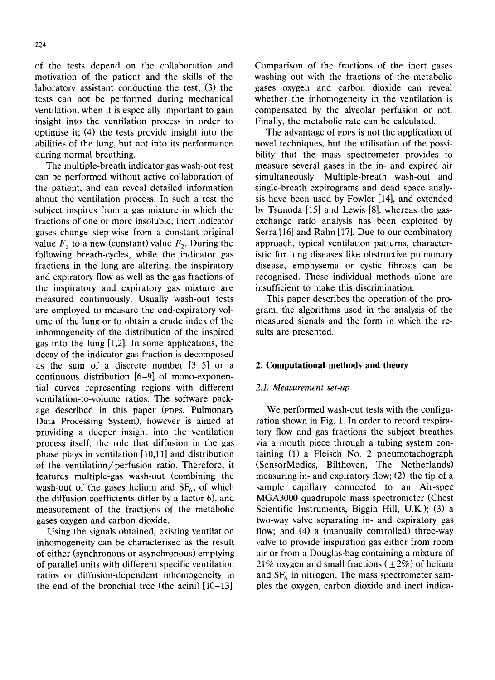of the tests depend on the collaboration and motivation of the patient and the skills of the laboratory assistant conducting the test; (3) the tests can not be performed during mechanical ventilation, when it is especially important to gain insight into the ventilation process in order to optimise it; (4) the tests provide insight into the abilities of the lung, but not into its performance during normal breathing.

The multiple-breath indicator gas wash-out test can be performed without active collaboration of the patient, and can reveal detailed information about the ventilation process. In such a test the subject inspires from a gas mixture in which the fractions of one or more insoluble, inert indicator gases change step-wise from a constant original value  $F_1$  to a new (constant) value  $F_2$ . During the following breath-cycles, while the indicator gas fractions in the lung are altering, the inspiratory and expiratory flow as well as the gas fractions of the inspiratory and expiratory gas mixture are measured continuously. Usually wash-out tests are employed to measure the end-expiratory volume of the lung or to obtain a crude index of the inhomogeneity of the distribution of the inspired gas into the lung [1,2]. In some applications, the decay of the indicator gas-fraction is decomposed as the sum of a discrete number [3-5] or a continuous distribution [6-9] of mono-exponential curves representing regions with different ventilation-to-volume ratios. The software package described in this paper (PDPS, Pulmonary Data Processing System), however is aimed at providing a deeper insight into the ventilation process itself, the role that diffusion in the gas phase plays in ventilation [10,11] and distribution of the ventilation/perfusion ratio. Therefore, it features multiple-gas wash-out (combining the wash-out of the gases helium and  $SF<sub>6</sub>$ , of which the diffusion coefficients differ by a factor 6), and measurement of the fractions of the metabolic gases oxygen and carbon dioxide.

Using the signals obtained, existing ventilation inhomogeneity can be characterised as the result of either (synchronous or asynchronous) emptying of parallel units with different specific ventilation ratios or diffusion-dependent inhomogeneity in the end of the bronchial tree (the acini) [10-13].

Comparison of the fractions of the inert gases washing out with the fractions of the metabolic gases oxygen and carbon dioxide can reveal whether the inhomogeneity in the ventilation is compensated by the alveolar perfusion or not. Finally, the metabolic rate can be calculated.

The advantage of PDPS is not the application of novel techniques, but the utilisation of the possibility that the mass spectrometer provides to measure several gases in the in- and expired air simultaneously. Multiple-breath wash-out and single-breath expirograms and dead space analysis have been used by Fowler [14], and extended by Tsunoda [15] and Lewis [8], whereas the gasexchange ratio analysis has been exploited by Serra [16] and Rahn [17]. Due to our combinatory approach, typical ventilation patterns, characteristic for lung diseases like obstructive pulmonary disease, emphysema or cystic fibrosis can be recognised. These individual methods alone are insufficient to make this discrimination.

This paper describes the operation of the program, the algorithms used in the analysis of the measured signals and the form in which the results are presented.

# **2. Computational methods and theory**

## *2.1. Measurement set-up*

We performed wash-out tests with the configuration shown in Fig. 1. In order to record respiratory flow and gas fractions the subject breathes via a mouth piece through a tubing system containing (1) a Fleisch No. 2 pneumotachograph (SensorMedics, Bilthoven, The Netherlands) measuring in- and expiratory flow; (2) the tip of a sample capillary connected to an Air-spec MGA3000 quadrupole mass spectrometer (Chest Scientific Instruments, Biggin Hill, U.K.); (3) a two-way valve separating in- and expiratory gas flow; and (4) a (manually controlled) three-way valve to provide inspiration gas either from room air or from a Douglas-bag containing a mixture of 21% oxygen and small fractions ( $\pm$  2%) of helium and  $SF<sub>6</sub>$  in nitrogen. The mass spectrometer samples the oxygen, carbon dioxide and inert indica-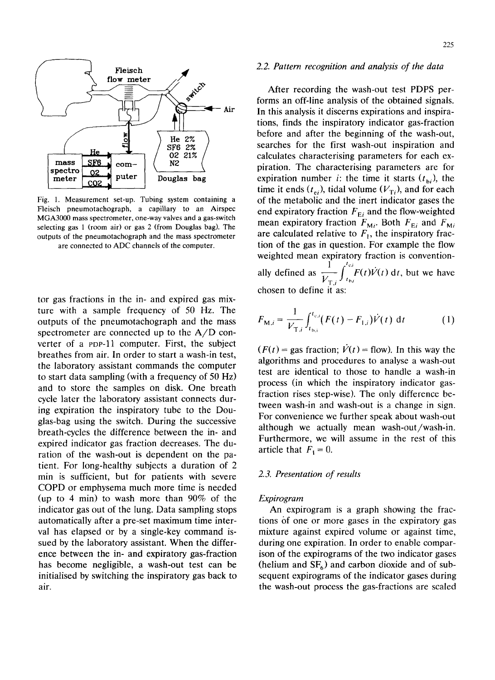

Fig. 1. Measurement set-up. Tubing system containing a Fleisch pneumotachograph, a capillary to an Airspec MGA3000 mass spectrometer, one-way valves and a gas-switch selecting gas 1 (room air) or gas 2 (from Douglas bag). The outputs of the pneumotachograph and the mass spectrometer are connected to ADC channels of the computer.

tor gas fractions in the in- and expired gas mixture with a sample frequency of 50 Hz. The outputs of the pneumotachograph and the mass spectrometer are connected up to the A/D converter of a POP-11 computer. First, the subject breathes from air. In order to start a wash-in test, the laboratory assistant commands the computer to start data sampling (with a frequency of 50 Hz) and to store the samples on disk. One breath cycle later the laboratory assistant connects during expiration the inspiratory tube to the Douglas-bag using the switch. During the successive breath-cycles the difference between the in- and expired indicator gas fraction decreases. The duration of the wash-out is dependent on the patient. For long-healthy subjects a duration of 2 min is sufficient, but for patients with severe COPD or emphysema much more time is needed (up to 4 min) to wash more than 90% of the indicator gas out of the lung. Data sampling stops automatically after a pre-set maximum time interval has elapsed or by a single-key command issued by the laboratory assistant. When the difference between the in- and expiratory gas-fraction has become negligible, a wash-out test can be initialised by switching the inspiratory gas back to air.

#### 225

## *2.2. Pattern recognition and analysis of the data*

After recording the wash-out test PDPS performs an off-line analysis of the obtained signals. In this analysis it discerns expirations and inspirations, finds the inspiratory indicator gas-fraction before and after the beginning of the wash-out, searches for the first wash-out inspiration and calculates characterising parameters for each expiration. The characterising parameters are for expiration number *i*: the time it starts  $(t_{bi})$ , the time it ends ( $t_{ei}$ ), tidal volume ( $V_{Ti}$ ), and for each of the metabolic and the inert indicator gases the end expiratory fraction  $F_{E_i}$  and the flow-weighted mean expiratory fraction  $F_{Mi}$ . Both  $F_{Ei}$  and  $F_{Mi}$ are calculated relative to  $F_{1}^{m}$ , the inspiratory fraction of the gas in question. For example the flow weighted mean expiratory fraction is conventionally defined as  $\frac{V}{V_{T,i}} \int_{t_{b,i}} F(t)V(t) dt$ , but we have chosen to define it as:

$$
F_{\mathbf{M},i} = \frac{1}{V_{\mathrm{T},i}} \int_{t_{\mathrm{b},i}}^{t_{\mathrm{c},i}} (F(t) - F_{1,i}) \dot{V}(t) \, \mathrm{d}t \tag{1}
$$

 $(F(t) = \text{gas fraction}; \dot{V}(t) = \text{flow})$ . In this way the algorithms and procedures to analyse a wash-out test are identical to those to handle a wash-in process (in which the inspiratory indicator gasfraction rises step-wise). The only difference between wash-in and wash-out is a change in sign. For convenience we further speak about wash-out although we actually mean wash-out/wash-in. Furthermore, we will assume in the rest of this article that  $F_1 = 0$ .

## *2.3. Presentation of results*

#### *Expirogram*

An expirogram is a graph showing the fractions of one or more gases in the expiratory gas mixture against expired volume or against time, during one expiration. In order to enable comparison of the expirograms of the two indicator gases (helium and  $SF<sub>6</sub>$ ) and carbon dioxide and of subsequent expirograms of the indicator gases during the wash-out process the gas-fractions are scaled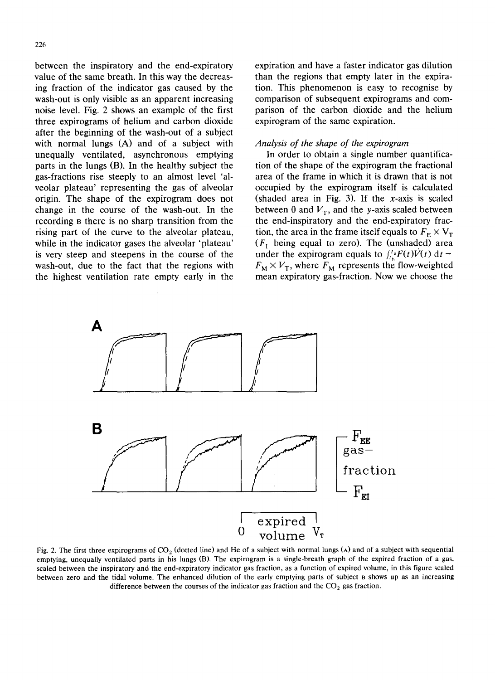between the inspiratory and the end-expiratory value of the same breath. In this way the decreasing fraction of the indicator gas caused by the wash-out is only visible as an apparent increasing noise level. Fig. 2 shows an example of the first three expirograms of helium and carbon dioxide after the beginning of the wash-out of a subject with normal lungs (A) and of a subject with unequally ventilated, asynchronous emptying parts in the lungs (B). In the healthy subject the gas-fractions rise steeply to an almost level 'alveolar plateau' representing the gas of alveolar origin. The shape of the expirogram does not change in the course of the wash-out. In the recording 8 there is no sharp transition from the rising part of the curve to the alveolar plateau, while in the indicator gases the alveolar 'plateau' is very steep and steepens in the course of the wash-out, due to the fact that the regions with the highest ventilation rate empty early in the expiration and have a faster indicator gas dilution than the regions that empty later in the expiration. This phenomenon is easy to recognise by comparison of subsequent expirograms and comparison of the carbon dioxide and the helium expirogram of the same expiration.

# *Analysis of the shape of the expirogram*

In order to obtain a single number quantification of the shape of the expirogram the fractional area of the frame in which it is drawn that is not occupied by the expirogram itself is calculated (shaded area in Fig. 3). If the  $x$ -axis is scaled between 0 and  $V<sub>T</sub>$ , and the y-axis scaled between the end-inspiratory and the end-expiratory fraction, the area in the frame itself equals to  $F_{\rm E} \times V_{\rm T}$  $(F<sub>1</sub>$  being equal to zero). The (unshaded) area under the expirogram equals to  $f_t^t F(t)V(t) dt =$  $F_M \times V_T$ , where  $F_M$  represents the flow-weighted mean expiratory gas-fraction. Now we choose the



Fig. 2. The first three expirograms of  $CO<sub>2</sub>$  (dotted line) and He of a subject with normal lungs ( $\lambda$ ) and of a subject with sequential emptying, unequally ventilated parts in his lungs (B). The expirogram is a single-breath graph of the expired fraction of a gas, scaled between the inspiratory and the end-expiratory indicator gas fraction, as a function of expired volume, in this figure scaled between zero and the tidal volume. The enhanced dilution of the early emptying parts of subject a shows up as an increasing difference between the courses of the indicator gas fraction and the  $CO<sub>2</sub>$  gas fraction.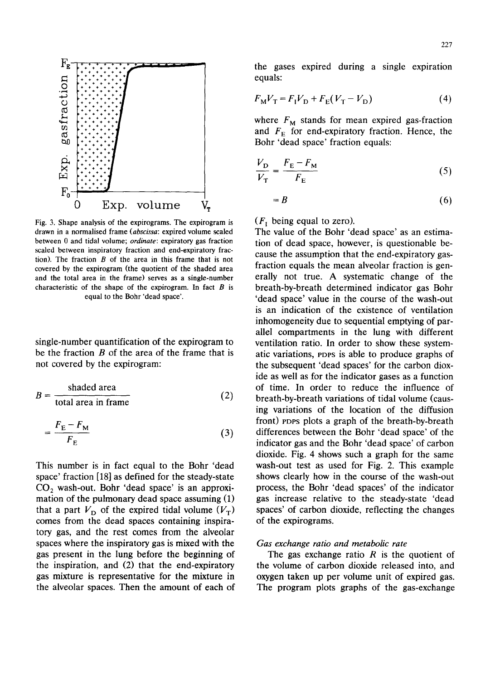

Fig. 3. Shape analysis of the expirograms. The expirogram is drawn in a normalised frame *(abscissa: expired volume scaled* between 0 and tidal volume; *ordinate:* expiratory gas fraction scaled between inspiratory fraction and end-expiratory fraction). The fraction  $B$  of the area in this frame that is not covered by the expirogram (the quotient of the shaded area and the total area in the frame) serves as a single-number characteristic of the shape of the expirogram. In fact  $B$  is equal to the Bohr 'dead space'.

single-number quantification of the expirogram to be the fraction  $B$  of the area of the frame that is not covered by the expirogram:

$$
B = \frac{\text{shaded area}}{\text{total area in frame}} \tag{2}
$$

$$
=\frac{F_{\rm E}-F_{\rm M}}{F_{\rm E}}\tag{3}
$$

This number is in fact equal to the Bohr 'dead space' fraction [18] as defined for the steady-state  $CO<sub>2</sub>$  wash-out. Bohr 'dead space' is an approximation of the pulmonary dead space assuming (1) that a part  $V_D$  of the expired tidal volume  $(V_T)$ comes from the dead spaces containing inspiratory gas, and the rest comes from the alveolar spaces where the inspiratory gas is mixed with the gas present in the lung before the beginning of the inspiration, and (2) that the end-expiratory gas mixture is representative for the mixture in the alveolar spaces. Then the amount of each of the gases expired during a single expiration equals:

$$
F_{\rm M}V_{\rm T} = F_{\rm I}V_{\rm D} + F_{\rm E}(V_{\rm T} - V_{\rm D})\tag{4}
$$

where  $F_M$  stands for mean expired gas-fraction and  $F<sub>E</sub>$  for end-expiratory fraction. Hence, the Bohr 'dead space' fraction equals:

$$
\frac{V_{\rm D}}{V_{\rm T}} = \frac{F_{\rm E} - F_{\rm M}}{F_{\rm E}}\tag{5}
$$

$$
=B
$$
 (6)

 $(F<sub>1</sub>$  being equal to zero).

The value of the Bohr 'dead space' as an estimation of dead space, however, is questionable because the assumption that the end-expiratory gasfraction equals the mean alveolar fraction is generally not true. A systematic change of the breath-by-breath determined indicator gas Bohr 'dead space' value in the course of the wash-out is an indication of the existence of ventilation inhomogeneity due to sequential emptying of parallel compartments in the lung with different ventilation ratio. In order to show these systematic variations, PDPS is able to produce graphs of the subsequent 'dead spaces' for the carbon dioxide as well as for the indicator gases as a function of time. In order to reduce the influence of breath-by-breath variations of tidal volume (causing variations of the location of the diffusion front) eDPS plots a graph of the breath-by-breath differences between the Bohr 'dead space' of the indicator gas and the Bohr 'dead space' of carbon dioxide. Fig. 4 shows such a graph for the same wash-out test as used for Fig. 2. This example shows clearly how in the course of the wash-out process, the Bohr 'dead spaces' of the indicator gas increase relative to the steady-state 'dead spaces' of carbon dioxide, reflecting the changes of the expirograms.

#### *Gas exchange ratio and metabolic rate*

The gas exchange ratio  $R$  is the quotient of the volume of carbon dioxide released into, and oxygen taken up per volume unit of expired gas. The program plots graphs of the gas-exchange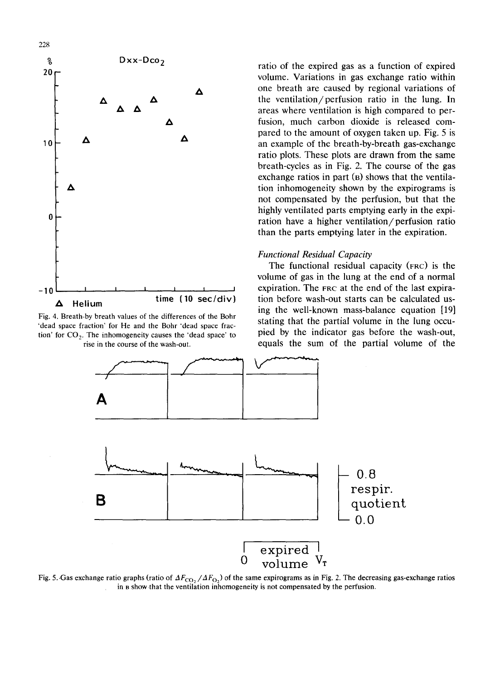



ratio of the expired gas as a function of expired volume. Variations in gas exchange ratio within one breath are caused by regional variations of the ventilation/perfusion ratio in the lung. In areas where ventilation is high compared to perfusion, much carbon dioxide is released compared to the amount of oxygen taken up. Fig. 5 is an example of the breath-by-breath gas-exchange ratio plots. These plots are drawn from the same breath-cycles as in Fig. 2. The course of the gas exchange ratios in part  $(B)$  shows that the ventilation inhomogeneity shown by the expirograms is not compensated by the perfusion, but that the highly ventilated parts emptying early in the expiration have a higher ventilation/perfusion ratio than the parts emptying later in the expiration.

# *Functional Residual Capacity*

The functional residual capacity (FRC) is the volume of gas in the lung at the end of a normal expiration. The FRC at the end of the last expiration before wash-out starts can be calculated using the well-known mass-balance equation [19] stating that the partial volume in the lung occupied by the indicator gas before the wash-out, equals the sum of the partial volume of the



Fig. 5. Gas exchange ratio graphs (ratio of  $\Delta F_{\text{CO}_2}/\Delta F_{\text{O}_2}$ ) of the same expirograms as in Fig. 2. The decreasing gas-exchange ratios in a showthat the ventilation inhomogeneity is not compensated by the perfusion.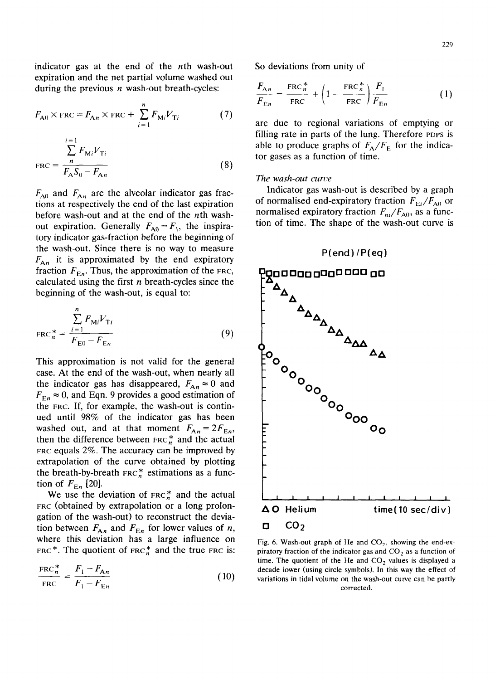indicator gas at the end of the nth wash-out expiration and the net partial volume washed out during the previous  $n$  wash-out breath-cycles:

$$
F_{A0} \times \text{FRC} = F_{An} \times \text{FRC} + \sum_{i=1}^{n} F_{Mi} V_{Ti}
$$
 (7)

$$
FRC = \frac{\sum_{n=1}^{i=1} F_{Mi} V_{Ti}}{F_A S_0 - F_{An}}
$$
 (8)

 $F_{A0}$  and  $F_{An}$  are the alveolar indicator gas fractions at respectively the end of the last expiration before wash-out and at the end of the nth washout expiration. Generally  $F_{A0} = F_1$ , the inspiratory indicator gas-fraction before the beginning of the wash-out. Since there is no way to measure  $F_{An}$  it is approximated by the end expiratory fraction  $F_{En}$ . Thus, the approximation of the FRC, calculated using the first  $n$  breath-cycles since the beginning of the wash-out, is equal to:

$$
FRC_n^* = \frac{\sum_{i=1}^n F_{Mi} V_{Ti}}{F_{E0} - F_{En}}
$$
(9)

This approximation is not valid for the general case. At the end of the wash-out, when nearly all the indicator gas has disappeared,  $F_{An} \approx 0$  and  $F_{E_n} \approx 0$ , and Eqn. 9 provides a good estimation of the FRC. If, for example, the wash-out is continued until 98% of the indicator gas has been washed out, and at that moment  $F_{An} = 2F_{En}$ , then the difference between  $F_{R}$  and the actual FRC equals  $2\%$ . The accuracy can be improved by extrapolation of the curve obtained by plotting the breath-by-breath  $FRC_n^*$  estimations as a function of  $F_{E_n}$  [20].

We use the deviation of  $FRC_n^*$  and the actual FRC (obtained by extrapolation or a long prolongation of the wash-out) to reconstruct the deviation between  $F_{An}$  and  $F_{En}$  for lower values of *n*, where this deviation has a large influence on FRC\*. The quotient of FRC $_n^*$  and the true FRC is:

$$
\frac{\text{FRC}_n^*}{\text{FRC}} = \frac{F_1 - F_{An}}{F_1 - F_{En}} \tag{10}
$$

So deviations from unity of

$$
\frac{F_{An}}{F_{En}} = \frac{\text{FRC}_n^*}{\text{FRC}} + \left(1 - \frac{\text{FRC}_n^*}{\text{FRC}}\right) \frac{F_1}{F_{En}} \tag{1}
$$

are due to regional variations of emptying or filling rate in parts of the lung. Therefore PDPS is able to produce graphs of  $F_A/F_E$  for the indicator gases as a function of time.

## *The wash-out curve*

Indicator gas wash-out is described by a graph of normalised end-expiratory fraction  $F_{Ei}/F_{A0}$  or normalised expiratory fraction  $F_{ni}/F_{A0}$ , as a function of time. The shape of the wash-out curve is

#### $P(\text{end})/P(\text{eq})$



Fig. 6. Wash-out graph of He and  $CO<sub>2</sub>$ , showing the end-expiratory fraction of the indicator gas and  $CO<sub>2</sub>$  as a function of time. The quotient of the He and  $CO<sub>2</sub>$  values is displayed a decade lower (using circle symbols). In this way the effect of variations in tidal volume on the wash-out curve can be partly corrected.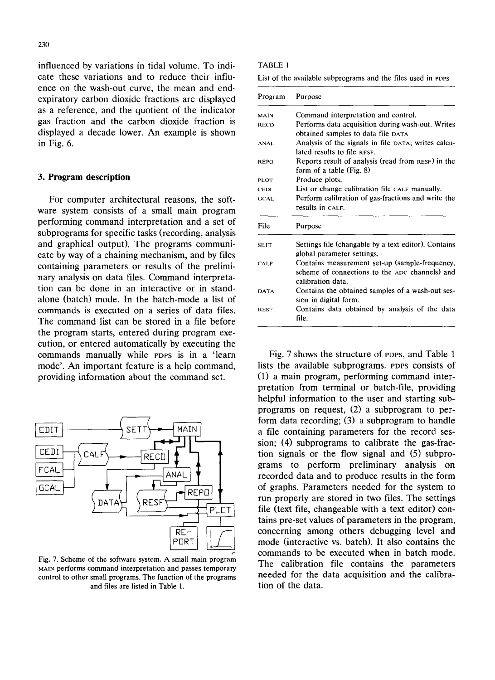influenced by variations in tidal volume. To indicate these variations and to reduce their influence on the wash-out curve, the mean and endexpiratory carbon dioxide fractions are displayed as a reference, and the quotient of the indicator gas fraction and the carbon dioxide fraction is displayed a decade lower. An example is shown in Fig. 6.

## **3. Program description**

For computer architectural reasons, the software system consists of a small main program performing command interpretation and a set of subprograms for specific tasks (recording, analysis and graphical output). The programs communicate by way of a chaining mechanism, and by files containing parameters or results of the preliminary analysis on data files. Command interpretation can be done in an interactive or in standalone (batch) mode. In the batch-mode a list of commands is executed on a series of data files. The command list can be stored in a file before the program starts, entered during program execution, or entered automatically by executing the commands manually while PDPS is in a 'learn mode'. An important feature is a help command, providing information about the command set.



Fig. 7. Scheme of the software system. A small main program MAIN performs command interpretation and passes temporary control to other small programs. The function of the programs and files are listed in Table 1.

#### TABLE 1

List of the available subprograms and the files used in PDPS

| Program     | Purpose<br>Command interpretation and control.                                                                        |  |  |  |  |  |  |  |
|-------------|-----------------------------------------------------------------------------------------------------------------------|--|--|--|--|--|--|--|
| MAIN        |                                                                                                                       |  |  |  |  |  |  |  |
| RECO        | Performs data acquisition during wash-out. Writes<br>obtained samples to data file DATA                               |  |  |  |  |  |  |  |
| <b>ANAL</b> | Analysis of the signals in file DATA; writes calcu-<br>lated results to file RESF.                                    |  |  |  |  |  |  |  |
| <b>REPO</b> | Reports result of analysis (read from RESF) in the<br>form of a table (Fig. 8)                                        |  |  |  |  |  |  |  |
| PLOT        | Produce plots.                                                                                                        |  |  |  |  |  |  |  |
| <b>CEDI</b> | List or change calibration file CALF manually.                                                                        |  |  |  |  |  |  |  |
| GCAL.       | Perform calibration of gas fractions and write the<br>results in CALF.                                                |  |  |  |  |  |  |  |
| File        | Purpose                                                                                                               |  |  |  |  |  |  |  |
| <b>SETT</b> | Settings file (changable by a text editor). Contains<br>global parameter settings.                                    |  |  |  |  |  |  |  |
| CALF        | Contains measurement set-up (sample-frequency,<br>scheme of connections to the ADC channels) and<br>calibration data. |  |  |  |  |  |  |  |
| <b>DATA</b> | Contains the obtained samples of a wash-out ses-<br>sion in digital form.                                             |  |  |  |  |  |  |  |
| <b>RESF</b> | Contains data obtained by analysis of the data<br>file.                                                               |  |  |  |  |  |  |  |

Fig. 7 shows the structure of PDPS, and Table 1 lists the available subprograms. PDPS consists of (1) a main program, performing command interpretation from terminal or batch-file, providing helpful information to the user and starting subprograms on request, (2) a subprogram to perform data recording; (3) a subprogram to handle a file containing parameters for the record session; (4) subprograms to calibrate the gas-fraction signals or the flow signal and (5) subprograms to perform preliminary analysis on recorded data and to produce results in the form of graphs. Parameters needed for the system to run properly are stored in two files. The settings file (text file, changeable with a text editor) contains pre-set values of parameters in the program, concerning among others debugging level and mode (interactive vs. batch). It also contains the commands to be executed when in batch mode. The calibration file contains the parameters needed for the data acquisition and the calibration of the data.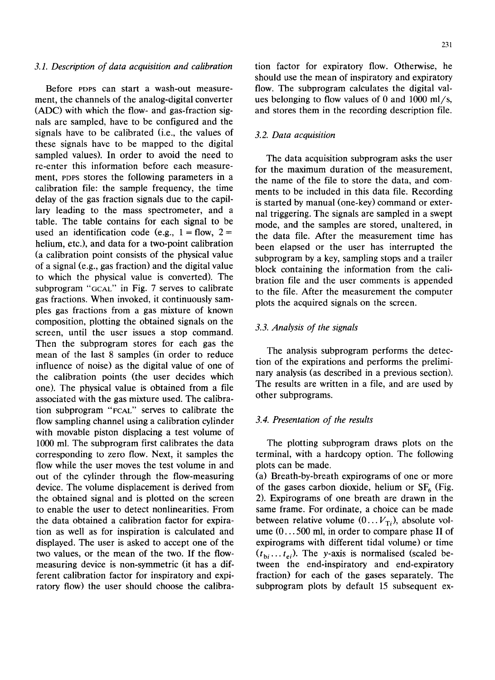# *3.1. Description of data acquisition and calibration*

Before PDPS can start a wash-out measurement, the channels of the analog-digital converter (ADC) with which the flow- and gas-fraction signals are sampled, have to be configured and the signals have to be calibrated (i.e., the values of these signals have to be mapped to the digital sampled values). In order to avoid the need to re-enter this information before each measurement, PDPS stores the following parameters in a calibration file: the sample frequency, the time delay of the gas fraction signals due to the capillary leading to the mass spectrometer, and a table. The table contains for each signal to be used an identification code (e.g.,  $1 =$  flow,  $2 =$ helium, etc.), and data for a two-point calibration (a calibration point consists of the physical value of a signal (e.g., gas fraction) and the digital value to which the physical value is converted). The subprogram "GCAL" in Fig. 7 serves to calibrate gas fractions. When invoked, it continuously sampies gas fractions from a gas mixture of known composition, plotting the obtained signals on the screen, until the user issues a stop command. Then the subprogram stores for each gas the mean of the last 8 samples (in order to reduce influence of noise) as the digital value of one of the calibration points (the user decides which one). The physical value is obtained from a file associated with the gas mixture used. The calibration subprogram "FCAL" serves to calibrate the flow sampling channel using a calibration cylinder with movable piston displacing a test volume of 1000 ml. The subprogram first calibrates the data corresponding to zero flow. Next, it samples the flow while the user moves the test volume in and out of the cylinder through the flow-measuring device. The volume displacement is derived from the obtained signal and is plotted on the screen to enable the user to detect nonlinearities. From the data obtained a calibration factor for expiration as well as for inspiration is calculated and displayed. The user is asked to accept one of the two values, or the mean of the two. If the flowmeasuring device is non-symmetric (it has a different calibration factor for inspiratory and expiratory flow) the user should choose the calibration factor for expiratory flow. Otherwise, he should use the mean of inspiratory and expiratory flow. The subprogram calculates the digital values belonging to flow values of 0 and  $1000$  ml/s, and stores them in the recording description file.

## *3.2. Data acquisition*

The data acquisition subprogram asks the user for the maximum duration of the measurement, the name of the file to store the data, and comments to be included in this data file. Recording is started by manual (one-key) command or external triggering. The signals are sampled in a swept mode, and the samples are stored, unaltered, in the data file. After the measurement time has been elapsed or the user has interrupted the subprogram by a key, sampling stops and a trailer block containing the information from the calibration file and the user comments is appended to the file. After the measurement the computer plots the acquired signals on the screen.

# *3.3. Analysis of the signals*

The analysis subprogram performs the detection of the expirations and performs the preliminary analysis (as described in a previous section). The results are written in a file, and are used by other subprograms.

## *3.4. Presentation of the results*

The plotting subprogram draws plots on the terminal, with a hardcopy option. The following plots can be made.

(a) Breath-by-breath expirograms of one or more of the gases carbon dioxide, helium or  $SF<sub>6</sub>$  (Fig. 2). Expirograms of one breath are drawn in the same frame. For ordinate, a choice can be made between relative volume  $(0... V_{\text{Ti}})$ , absolute volume (0... 500 ml, in order to compare phase II of expirograms with different tidal volume) or time  $(t_{bi} \dots t_{ei})$ . The y-axis is normalised (scaled between the end-inspiratory and end-expiratory fraction) for each of the gases separately. The subprogram plots by default 15 subsequent ex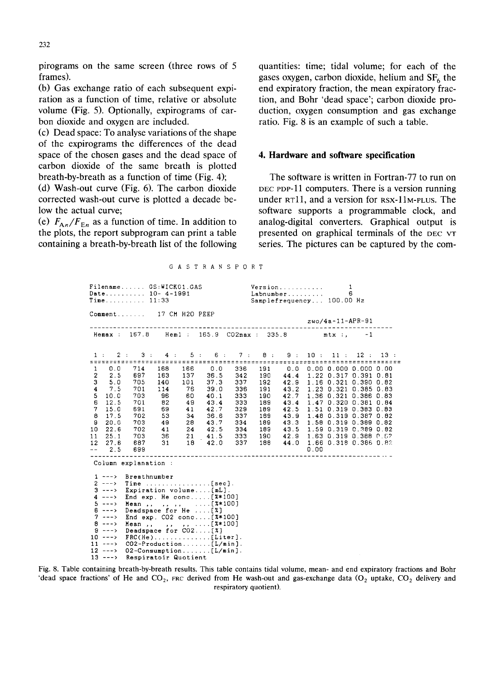**pirograms on the same screen (three rows of 5 frames).** 

**(b) Gas exchange ratio of each subsequent expiration as a function of time, relative or absolute volume (Fig. 5). Optionally, expirograms of carbon dioxide and oxygen are included.** 

**(c) Dead space: To analyse variations of the shape of the expirograms the differences of the dead space of the chosen gases and the dead space of carbon dioxide of the same breath is plotted breath-by-breath as a function of time (Fig. 4);** 

**(d) Wash-out curve (Fig. 6). The carbon dioxide corrected wash-out curve is plotted a decade below the actual curve;** 

(e)  $F_{An}/F_{En}$  as a function of time. In addition to **the plots, the report subprogram can print a table containing a breath-by-breath list of the following**  **quantities: time; tidal volume; for each of the**  gases oxygen, carbon dioxide, helium and SF<sub>6</sub> the **end expiratory fraction, the mean expiratory fraction, and Bohr 'dead space'; carbon dioxide production, oxygen consumption and gas exchange ratio. Fig. 8 is an example of such a table.** 

## **4. Hardware and software specification**

**The software is written in Fortran-77 to run on DEC PDP-1] computers. There is a version running under RTll, and a version for RSX-I1M-PLUS. The software supports a programmable clock, and analog-digital converters. Graphical output is presented on graphical terminals of the DEC VT series. The pictures can be captured by the com-**

| Filename GS:WICK01.GAS<br>Version<br>1<br>Date 10- 4-1991<br>Labnumber<br>6<br>$Time$ 11:33<br>Samplefrequency 100.00 Hz |                                                                                                                       |                                               |                                                                                                                           |    |                                                                                                                                                                                                                                                                                                                                                                                                                                                                                                                                    |                                                                                                                                                                          |  |  |      |  |  |     |
|--------------------------------------------------------------------------------------------------------------------------|-----------------------------------------------------------------------------------------------------------------------|-----------------------------------------------|---------------------------------------------------------------------------------------------------------------------------|----|------------------------------------------------------------------------------------------------------------------------------------------------------------------------------------------------------------------------------------------------------------------------------------------------------------------------------------------------------------------------------------------------------------------------------------------------------------------------------------------------------------------------------------|--------------------------------------------------------------------------------------------------------------------------------------------------------------------------|--|--|------|--|--|-----|
| Comment 17 CM H2O PEEP<br>zwo/4a-11-APR-91<br>-----------------------                                                    |                                                                                                                       |                                               |                                                                                                                           |    |                                                                                                                                                                                                                                                                                                                                                                                                                                                                                                                                    |                                                                                                                                                                          |  |  |      |  |  |     |
|                                                                                                                          |                                                                                                                       |                                               |                                                                                                                           |    | Hemax: 167.8 Heml: 165.9 CO2max: 335.8 mtx:, -1                                                                                                                                                                                                                                                                                                                                                                                                                                                                                    |                                                                                                                                                                          |  |  |      |  |  |     |
|                                                                                                                          |                                                                                                                       |                                               |                                                                                                                           |    | 1 : 2 : 3 : 4 : 5 : 6 : 7 : 8 : 9 : 10 : 11 : 12 :                                                                                                                                                                                                                                                                                                                                                                                                                                                                                 |                                                                                                                                                                          |  |  |      |  |  | 13: |
| 5 <sub>1</sub><br>6<br>7<br>8<br>9<br>10<br>11<br>12 <sup>12</sup>                                                       | 3, 5, 0<br>47.5<br>10.0<br>12.5<br>15.0<br>17.5<br>20.0<br>22.6<br>25.1<br>27.6<br>$-- 2.5$                           | 705<br>701<br>703<br>701<br>691<br>702<br>699 | 114<br>96 60<br>82 49<br>69 41<br>Column explanation :                                                                    | 76 | $\begin{array}{cccccccc} 1 & 0.0 & 714 & 168 & 166 & 0.0 & 336 & 191 & 0.0 & 0.00 & 0.000 & 0.000 & 0.00 \\ 2 & 2.5 & 697 & 163 & 137 & 36.5 & 342 & 190 & 44.4 & 1.22 & 0.317 & 0.391 & 0.81 \end{array}$<br>140 101 37.3 337 192 42.9 1.16 0.321 0.390 0.82<br>53 34 36.6 337 189 43.9 1.48 0.319 0.387 0.82<br>0.3 49 28 43.7 334 189 43.3 1.58 0.319 0.389 0.82<br>702 41 24 42.5 334 189 43.5 1.59 0.319 0.389 0.82<br>703 36 21 41.5 333 190 42.9 1.63 0.319 0.388 0.82<br>887 31 18 42.0 337 188 44.0 1.66 0.318 0.386 0.82 | 39.0 336 191 43.2 1.23 0.321 0.385 0.83<br>40.1 333 190 42.7 1.36 0.321 0.386 0.83<br>43.4 333 189 43.4 1.47 0.320 0.381 0.84<br>42.7 329 189 42.5 1.51 0.319 0.383 0.83 |  |  | 0.00 |  |  |     |
|                                                                                                                          | $3 - - -$<br>$5 - - - \rightarrow$<br>$6 \rightarrow -$ ><br>$7 - - -$<br>$8 - - - \rightarrow$<br>$13 \rightarrow -$ |                                               | 1 ---> Breathnumber<br>Deadspace for He [%]<br>$9 \rightarrow - \rightarrow$ Deadspace for CO2[%]<br>Respiratoir Quotient |    | $2 \rightarrow - \rightarrow$ Time  [sec].<br>Expiration volume[mL].<br>4 ---> End exp. He conc [ $x*100$ ]<br>Mean, , , , , $\ldots$ [ $x*100$ ]<br>End exp. CO2 conc[%*100]<br>Mean,,,,,,,[X*100]<br>$10$ ---> FRC(He)[Liter].<br>$11$ ---> $CO2$ -Production[L/min].<br>$12$ ---> 02-Consumption[L/min].                                                                                                                                                                                                                        |                                                                                                                                                                          |  |  |      |  |  |     |

G A S T R AN S P 0 RT

Fig. 8. Table containing breath-by-breath results. This table contains tidal volume, mean- and end expiratory fractions and Bohr 'dead space fractions' of He and  $CO_2$ , FRC derived from He wash-out and gas-exchange data  $(O_2$  uptake,  $CO_2$  delivery and **respiratory quotient).**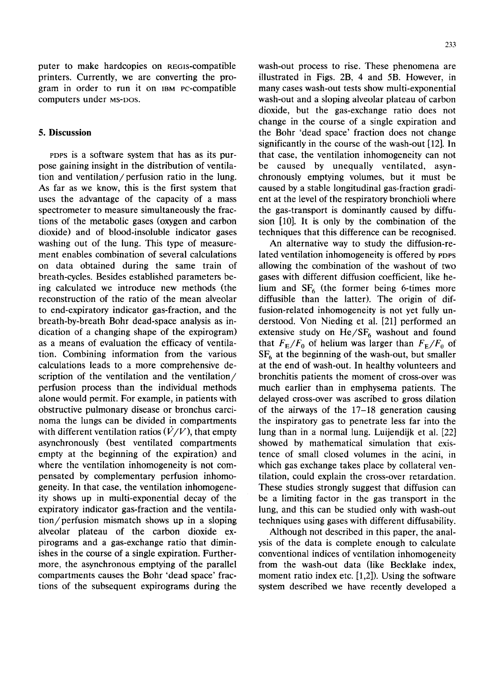puter to make hardcopies on REGiS-compatible printers. Currently, we are converting the program in order to run it on IBM PC-compatible computers under MS-DOS.

# **5. Discussion**

PDPS is a software system that has as its purpose gaining insight in the distribution of ventilation and ventilation/perfusion ratio in the lung. As far as we know, this is the first system that uses the advantage of the capacity of a mass spectrometer to measure simultaneously the fractions of the metabolic gases (oxygen and carbon dioxide) and of blood-insoluble indicator gases washing out of the lung. This type of measurement enables combination of several calculations on data obtained during the same train of breath-cycles. Besides established parameters being calculated we introduce new methods (the reconstruction of the ratio of the mean alveolar to end-expiratory indicator gas-fraction, and the breath-by-breath Bohr dead-space analysis as indication of a changing shape of the expirogram) as a means of evaluation the efficacy of ventilation. Combining information from the various calculations leads to a more comprehensive description of the ventilation and the ventilation/ perfusion process than the individual methods alone would permit. For example, in patients with obstructive pulmonary disease or bronchus carcinoma the lungs can be divided in compartments with different ventilation ratios  $(\dot{V}/V)$ , that empty asynchronously (best ventilated compartments empty at the beginning of the expiration) and where the ventilation inhomogeneity is not compensated by complementary perfusion inhomogeneity. In that case, the ventilation inhomogeneity shows up in multi-exponential decay of the expiratory indicator gas-fraction and the ventilation/perfusion mismatch shows up in a sloping alveolar plateau of the carbon dioxide expirograms and a gas-exchange ratio that diminishes in the course of a single expiration. Furthermore, the asynchronous emptying of the parallel compartments causes the Bohr 'dead space' fractions of the subsequent expirograms during the

wash-out process to rise. These phenomena are illustrated in Figs. 2B, 4 and 5B. However, in many cases wash-out tests show multi-exponential wash-out and a sloping alveolar plateau of carbon dioxide, but the gas-exchange ratio does not change in the course of a single expiration and the Bohr 'dead space' fraction does not change significantly in the course of the wash-out [12]. In that case, the ventilation inhomogeneity can not be caused by unequally ventilated, asynchronously emptying volumes, but it must be caused by a stable longitudinal gas-fraction gradient at the level of the respiratory bronchioli where the gas-transport is dominantly caused by diffusion [10]. It is only by the combination of the techniques that this difference can be recognised.

An alternative way to study the diffusion-related ventilation inhomogeneity is offered by PDPS allowing the combination of the washout of two gases with different diffusion coefficient, like helium and  $SF<sub>6</sub>$  (the former being 6-times more diffusible than the latter). The origin of diffusion-related inhomogeneity is not yet fully understood. Von Nieding et al. [21] performed an extensive study on  $He/SF_6$  washout and found that  $F_{\rm E}/F_0$  of helium was larger than  $F_{\rm E}/F_0$  of  $SF<sub>6</sub>$  at the beginning of the wash-out, but smaller at the end of wash-out. In healthy volunteers and bronchitis patients the moment of cross-over was much earlier than in emphysema patients. The delayed cross-over was ascribed to gross dilation of the airways of the 17-18 generation causing the inspiratory gas to penetrate less far into the lung than in a normal lung. Luijendijk et al. [22] showed by mathematical simulation that existence of small closed volumes in the acini, in which gas exchange takes place by collateral ventilation, could explain the cross-over retardation. These studies strongly suggest that diffusion can be a limiting factor in the gas transport in the lung, and this can be studied only with wash-out techniques using gases with different diffusability.

Although not described in this paper, the analysis of the data is complete enough to calculate conventional indices of ventilation inhomogeneity from the wash-out data (like Becklake index, moment ratio index etc. [1,2]). Using the software system described we have recently developed a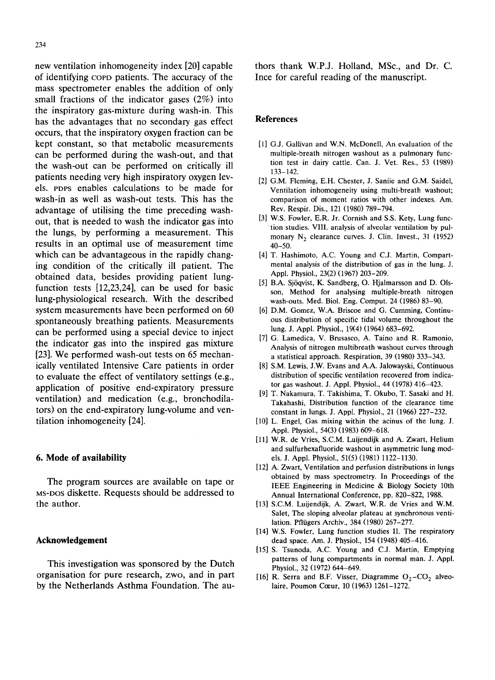new ventilation inhomogeneity index [20] capable of identifying coPo patients. The accuracy of the mass spectrometer enables the addition of only small fractions of the indicator gases (2%) into the inspiratory gas-mixture during wash-in. This has the advantages that no secondary gas effect occurs, that the inspiratory oxygen fraction can be kept constant, so that metabolic measurements can be performed during the wash-out, and that the wash-out can be performed on critically ill patients needing very high inspiratory oxygen levels. POPS enables calculations to be made for wash-in as well as wash-out tests. This has the advantage of utilising the time preceding washout, that is needed to wash the indicator gas into the lungs, by performing a measurement. This results in an optimal use of measurement time which can be advantageous in the rapidly changing condition of the critically ill patient. The obtained data, besides providing patient lungfunction tests [12,23,24], can be used for basic lung-physiological research. With the described system measurements have been performed on 60 spontaneously breathing patients. Measurements can be performed using a special device to inject the indicator gas into the inspired gas mixture [23]. We performed wash-out tests on 65 mechanically ventilated Intensive Care patients in order to evaluate the effect of ventilatory settings (e.g., application of positive end-expiratory pressure ventilation) and medication (e.g., bronchodilators) on the end-expiratory lung-volume and ventilation inhomogeneity [24].

# **6. Mode of availability**

The program sources are available on tape or MS-DOS diskette. Requests should be addressed to the author.

## **Acknowledgement**

This investigation was sponsored by the Dutch organisation for pure research, zwo, and in part by the Netherlands Asthma Foundation. The authors thank W.P.J. Holland, MSc., and Dr. C. Ince for careful reading of the manuscript.

## **References**

- [1] G.J. Gallivan and W.N. McDonell, An evaluation of the multiple-breath nitrogen washout as a pulmonary function test in dairy cattle. Can. J. Vet. Res., 53 (1989) 133-142.
- [2] G.M. Fleming, E.H. Chester, J. Saniie and G.M. Saidel, Ventilation inhomogeneity using multi-breath washout; comparison of moment ratios with other indexes. Am. Rev. Respir. Dis., 121 (1980) 789-794.
- [3] W.S. Fowler, E.R. Jr. Cornish and S.S. Kety, Lung function studies. VIII. analysis of alveolar ventilation by pulmonary  $N_2$  clearance curves. J. Clin. Invest., 31 (1952) 40-50.
- [4] T. Hashimoto, A.C. Young and C.J. Martin, Compartmental analysis of the distribution of gas in the lung. J. Appl. Physiol., 23(2) (1967) 203-209.
- [5] B.A. Sjöqvist, K. Sandberg, O. Hjalmarsson and D. Olsson, Method for analysing multiple-breath nitrogen wash-outs. Med. Biol. Eng. Comput. 24 (1986) 83-90.
- [6] D.M. Gomez, W.A. Briscoe and G. Cumming, Continuous distribution of specific tidal volume throughout the lung. J. Appl. Physiol., 19(4) (1964) 683-692.
- [7] G. Lamedica, V. Brusasco, A. Taino and R. Ramonio, Analysis of nitrogen multibreath washout curves through a statistical approach. Respiration, 39 (1980) 333-343.
- [8] S.M. Lewis, J.W. Evans and A.A. Jalowayski, Continuous distribution of specific ventilation recovered from indicator gas washout. J. Appl. Physiol., 44 (1978) 416-423.
- [9] T. Nakamura, T. Takishima, T. Okubo, T. Sasaki and H. Takahashi, Distribution function of the clearance time constant in lungs. J. Appl. Physiol., 21 (1966) 227-232.
- L. Engel, Gas mixing within the acinus of the lung. J. **[lO]**  Appl. Physiol., 54(3) (1983) 609-618.
- W.R. de Vries, S.C.M. Luijendijk and A. Zwart, Helium [11] and sulfurhexafluoride washout in asymmetric lung models. J. Appl. Physiol., 51(5) (1981) 1122-1130.
- A. Zwart, Ventilation and perfusion distributions in lungs [12] obtained by mass spectrometry. In Proceedings of the IEEE Engineering in Medicine & Biology Society 10th Annual International Conference, pp. 820-822, 1988.
- [13] S.C.M. Luijendijk, A. Zwart, W.R. de Vries and W.M. Salet, The sloping alveolar plateau at synchronous ventilation. Pfliigers Archiv., 384 (1980) 267-277.
- W.S. Fowler, Lung function studies II. The respiratory **[14]**  dead space. Am. J. Physiol., 154 (1948) 405-416.
- [15] S. Tsunoda, A.C. Young and C.J. Martin, Emptying patterns of lung compartments in normal man. J. Appl. Physiol., 32 (1972) 644-649.
- [16] R. Serra and B.F. Visser, Diagramme  $O_2$ -CO<sub>2</sub> alveolaire, Poumon Coeur, 10 (1963) 1261-1272.